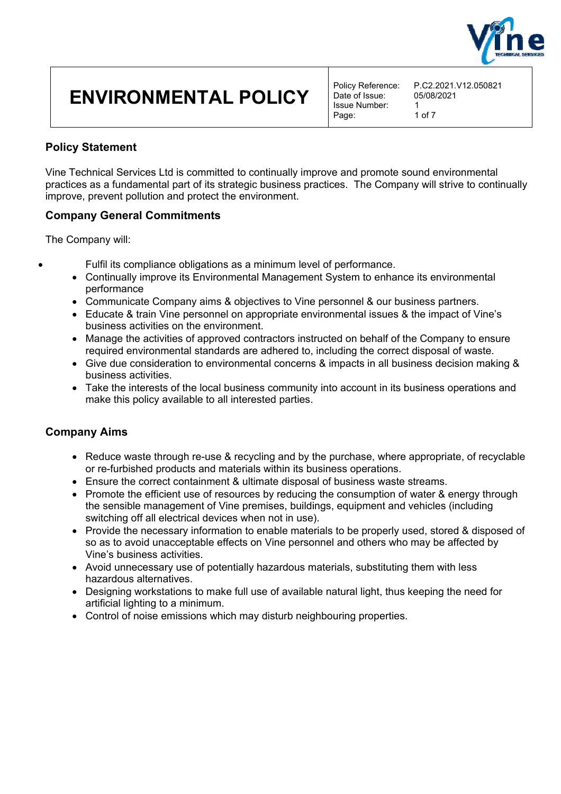

Date of Issue: Issue Number: 1<br>Page: 1 of 7 Page:

### **Policy Statement**

Vine Technical Services Ltd is committed to continually improve and promote sound environmental practices as a fundamental part of its strategic business practices. The Company will strive to continually improve, prevent pollution and protect the environment.

### **Company General Commitments**

The Company will:

- Fulfil its compliance obligations as a minimum level of performance.
- Continually improve its Environmental Management System to enhance its environmental performance
- Communicate Company aims & objectives to Vine personnel & our business partners.
- Educate & train Vine personnel on appropriate environmental issues & the impact of Vine's business activities on the environment.
- Manage the activities of approved contractors instructed on behalf of the Company to ensure required environmental standards are adhered to, including the correct disposal of waste.
- Give due consideration to environmental concerns & impacts in all business decision making & business activities.
- Take the interests of the local business community into account in its business operations and make this policy available to all interested parties.

### **Company Aims**

- Reduce waste through re-use & recycling and by the purchase, where appropriate, of recyclable or re-furbished products and materials within its business operations.
- Ensure the correct containment & ultimate disposal of business waste streams.
- Promote the efficient use of resources by reducing the consumption of water & energy through the sensible management of Vine premises, buildings, equipment and vehicles (including switching off all electrical devices when not in use).
- Provide the necessary information to enable materials to be properly used, stored & disposed of so as to avoid unacceptable effects on Vine personnel and others who may be affected by Vine's business activities.
- Avoid unnecessary use of potentially hazardous materials, substituting them with less hazardous alternatives.
- Designing workstations to make full use of available natural light, thus keeping the need for artificial lighting to a minimum.
- Control of noise emissions which may disturb neighbouring properties.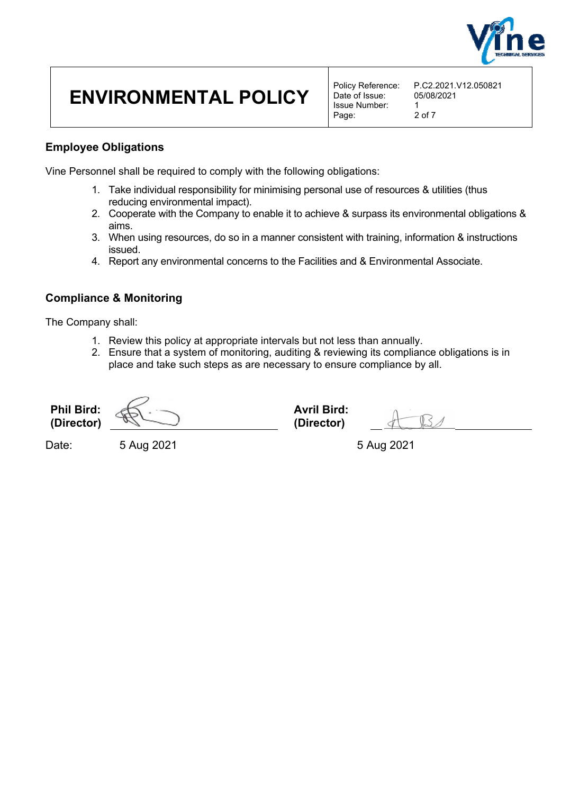

Date of Issue: Issue Number: 1<br>Page: 2 of 7 Page:

### **Employee Obligations**

Vine Personnel shall be required to comply with the following obligations:

- 1. Take individual responsibility for minimising personal use of resources & utilities (thus reducing environmental impact).
- 2. Cooperate with the Company to enable it to achieve & surpass its environmental obligations & aims.
- 3. When using resources, do so in a manner consistent with training, information & instructions issued.
- 4. Report any environmental concerns to the Facilities and & Environmental Associate.

### **Compliance & Monitoring**

The Company shall:

- 1. Review this policy at appropriate intervals but not less than annually.
- 2. Ensure that a system of monitoring, auditing & reviewing its compliance obligations is in place and take such steps as are necessary to ensure compliance by all.

**Phil Bird: (Director) Avril Bird: (Director)** 

Date: 5 Aug 2021 5 5 Aug 2021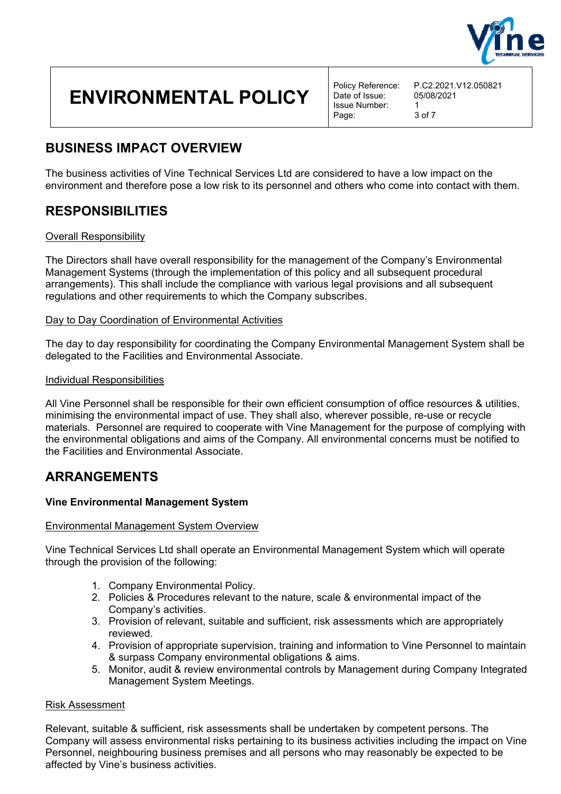

Date of Issue: Issue Number: 1 Page: 3 of 7

## **BUSINESS IMPACT OVERVIEW**

The business activities of Vine Technical Services Ltd are considered to have a low impact on the environment and therefore pose a low risk to its personnel and others who come into contact with them.

## **RESPONSIBILITIES**

#### Overall Responsibility

The Directors shall have overall responsibility for the management of the Company's Environmental Management Systems (through the implementation of this policy and all subsequent procedural arrangements). This shall include the compliance with various legal provisions and all subsequent regulations and other requirements to which the Company subscribes.

#### Day to Day Coordination of Environmental Activities

The day to day responsibility for coordinating the Company Environmental Management System shall be delegated to the Facilities and Environmental Associate.

#### Individual Responsibilities

All Vine Personnel shall be responsible for their own efficient consumption of office resources & utilities, minimising the environmental impact of use. They shall also, wherever possible, re-use or recycle materials. Personnel are required to cooperate with Vine Management for the purpose of complying with the environmental obligations and aims of the Company. All environmental concerns must be notified to the Facilities and Environmental Associate.

### **ARRANGEMENTS**

#### **Vine Environmental Management System**

#### Environmental Management System Overview

Vine Technical Services Ltd shall operate an Environmental Management System which will operate through the provision of the following:

- 1. Company Environmental Policy.
- 2. Policies & Procedures relevant to the nature, scale & environmental impact of the Company's activities.
- 3. Provision of relevant, suitable and sufficient, risk assessments which are appropriately reviewed.
- 4. Provision of appropriate supervision, training and information to Vine Personnel to maintain & surpass Company environmental obligations & aims.
- 5. Monitor, audit & review environmental controls by Management during Company Integrated Management System Meetings.

#### Risk Assessment

Relevant, suitable & sufficient, risk assessments shall be undertaken by competent persons. The Company will assess environmental risks pertaining to its business activities including the impact on Vine Personnel, neighbouring business premises and all persons who may reasonably be expected to be affected by Vine's business activities.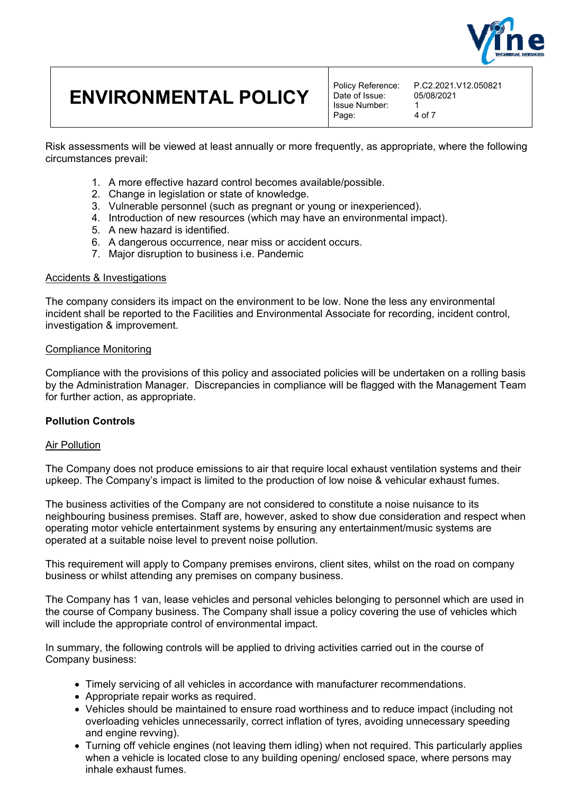

Date of Issue: Issue Number: 1 Page: 4 of 7

Risk assessments will be viewed at least annually or more frequently, as appropriate, where the following circumstances prevail:

- 1. A more effective hazard control becomes available/possible.
- 2. Change in legislation or state of knowledge.
- 3. Vulnerable personnel (such as pregnant or young or inexperienced).
- 4. Introduction of new resources (which may have an environmental impact).
- 5. A new hazard is identified.
- 6. A dangerous occurrence, near miss or accident occurs.
- 7. Major disruption to business i.e. Pandemic

#### Accidents & Investigations

The company considers its impact on the environment to be low. None the less any environmental incident shall be reported to the Facilities and Environmental Associate for recording, incident control, investigation & improvement.

#### Compliance Monitoring

Compliance with the provisions of this policy and associated policies will be undertaken on a rolling basis by the Administration Manager. Discrepancies in compliance will be flagged with the Management Team for further action, as appropriate.

#### **Pollution Controls**

#### Air Pollution

The Company does not produce emissions to air that require local exhaust ventilation systems and their upkeep. The Company's impact is limited to the production of low noise & vehicular exhaust fumes.

The business activities of the Company are not considered to constitute a noise nuisance to its neighbouring business premises. Staff are, however, asked to show due consideration and respect when operating motor vehicle entertainment systems by ensuring any entertainment/music systems are operated at a suitable noise level to prevent noise pollution.

This requirement will apply to Company premises environs, client sites, whilst on the road on company business or whilst attending any premises on company business.

The Company has 1 van, lease vehicles and personal vehicles belonging to personnel which are used in the course of Company business. The Company shall issue a policy covering the use of vehicles which will include the appropriate control of environmental impact.

In summary, the following controls will be applied to driving activities carried out in the course of Company business:

- Timely servicing of all vehicles in accordance with manufacturer recommendations.
- Appropriate repair works as required.
- Vehicles should be maintained to ensure road worthiness and to reduce impact (including not overloading vehicles unnecessarily, correct inflation of tyres, avoiding unnecessary speeding and engine revving).
- Turning off vehicle engines (not leaving them idling) when not required. This particularly applies when a vehicle is located close to any building opening/ enclosed space, where persons may inhale exhaust fumes.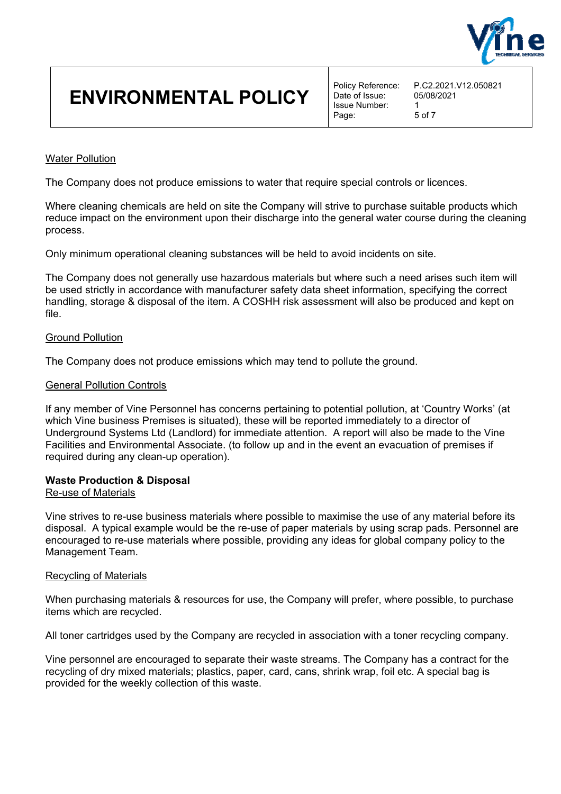

Date of Issue: Issue Number: 1 Page: 5 of 7

#### Water Pollution

The Company does not produce emissions to water that require special controls or licences.

Where cleaning chemicals are held on site the Company will strive to purchase suitable products which reduce impact on the environment upon their discharge into the general water course during the cleaning process.

Only minimum operational cleaning substances will be held to avoid incidents on site.

The Company does not generally use hazardous materials but where such a need arises such item will be used strictly in accordance with manufacturer safety data sheet information, specifying the correct handling, storage & disposal of the item. A COSHH risk assessment will also be produced and kept on file.

#### Ground Pollution

The Company does not produce emissions which may tend to pollute the ground.

#### General Pollution Controls

If any member of Vine Personnel has concerns pertaining to potential pollution, at 'Country Works' (at which Vine business Premises is situated), these will be reported immediately to a director of Underground Systems Ltd (Landlord) for immediate attention. A report will also be made to the Vine Facilities and Environmental Associate. (to follow up and in the event an evacuation of premises if required during any clean-up operation).

#### **Waste Production & Disposal**

#### Re-use of Materials

Vine strives to re-use business materials where possible to maximise the use of any material before its disposal. A typical example would be the re-use of paper materials by using scrap pads. Personnel are encouraged to re-use materials where possible, providing any ideas for global company policy to the Management Team.

#### Recycling of Materials

When purchasing materials & resources for use, the Company will prefer, where possible, to purchase items which are recycled.

All toner cartridges used by the Company are recycled in association with a toner recycling company.

Vine personnel are encouraged to separate their waste streams. The Company has a contract for the recycling of dry mixed materials; plastics, paper, card, cans, shrink wrap, foil etc. A special bag is provided for the weekly collection of this waste.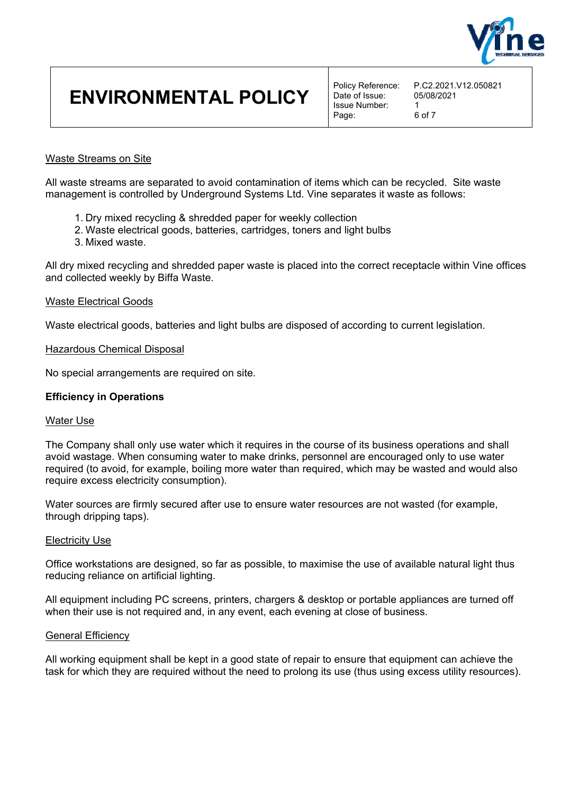

Date of Issue: Issue Number: 1 Page: 6 of 7

#### Waste Streams on Site

All waste streams are separated to avoid contamination of items which can be recycled. Site waste management is controlled by Underground Systems Ltd. Vine separates it waste as follows:

- 1. Dry mixed recycling & shredded paper for weekly collection
- 2. Waste electrical goods, batteries, cartridges, toners and light bulbs
- 3. Mixed waste.

All dry mixed recycling and shredded paper waste is placed into the correct receptacle within Vine offices and collected weekly by Biffa Waste.

#### Waste Electrical Goods

Waste electrical goods, batteries and light bulbs are disposed of according to current legislation.

#### Hazardous Chemical Disposal

No special arrangements are required on site.

#### **Efficiency in Operations**

#### Water Use

The Company shall only use water which it requires in the course of its business operations and shall avoid wastage. When consuming water to make drinks, personnel are encouraged only to use water required (to avoid, for example, boiling more water than required, which may be wasted and would also require excess electricity consumption).

Water sources are firmly secured after use to ensure water resources are not wasted (for example, through dripping taps).

#### Electricity Use

Office workstations are designed, so far as possible, to maximise the use of available natural light thus reducing reliance on artificial lighting.

All equipment including PC screens, printers, chargers & desktop or portable appliances are turned off when their use is not required and, in any event, each evening at close of business.

#### General Efficiency

All working equipment shall be kept in a good state of repair to ensure that equipment can achieve the task for which they are required without the need to prolong its use (thus using excess utility resources).